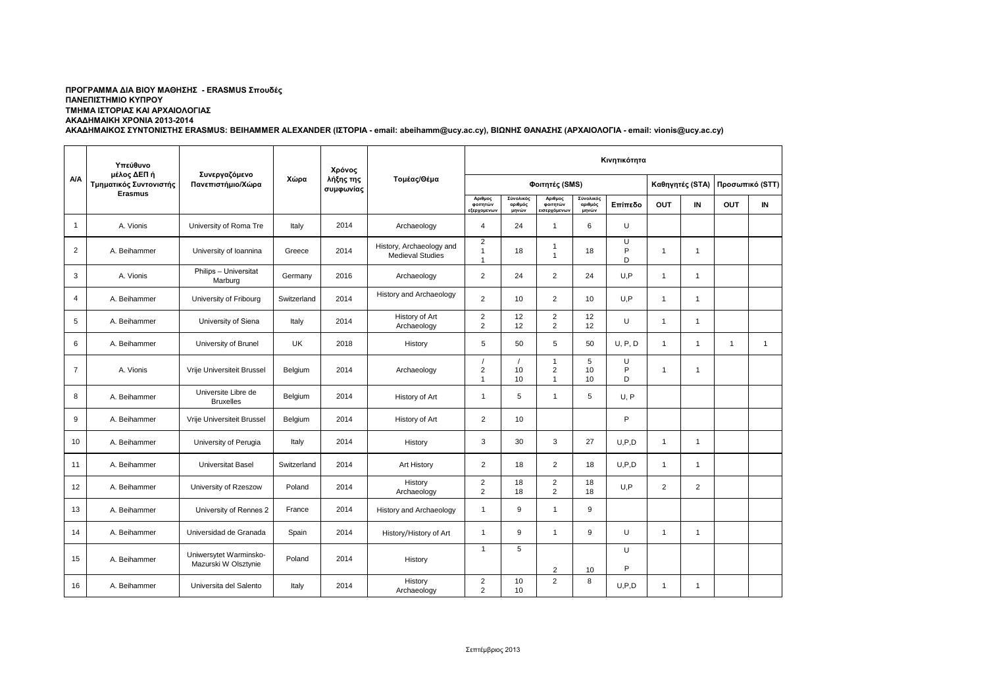## **ΠΡΟΓΡΑΜΜΑ ΔΙΑ ΒΙΟΥ ΜΑΘΗΣΗΣ - ERASMUS Σπουδές ΠΑΝΕΠΙΣΤΗΜΙΟ ΚΥΠΡΟΥ ΤΜΗΜΑ ΙΣΤΟΡΙΑΣ ΚΑΙ ΑΡΧΑΙΟΛΟΓΙΑΣ ΑΚΑΔΗΜΑΙΚΗ ΧΡΟΝΙΑ 2013-2014**

**ΑΚΑΔΗΜΑΙΚΟΣ ΣΥΝΤΟΝΙΣΤΗΣ ERASMUS: BEIHAMMER ALEXANDER (ΙΣΤΟΡΙΑ - email: abeihamm@ucy.ac.cy), ΒΙΩΝΗΣ ΘΑΝΑΣΗΣ (ΑΡΧΑΙΟΛΟΓΙΑ - email: vionis@ucy.ac.cy)**

|                | Υπεύθυνο<br>μέλος ΔΕΠ ή<br>Τμηματικός Συντονιστής<br><b>Erasmus</b> | Συνεργαζόμενο<br>Πανεπιστήμιο/Χώρα             | Χώρα        | Χρόνος<br>λήξης της<br>συμφωνίας | Τομέας/Θέμα                                         | Κινητικότητα                                       |                               |                                     |                               |                 |                |                 |                |              |
|----------------|---------------------------------------------------------------------|------------------------------------------------|-------------|----------------------------------|-----------------------------------------------------|----------------------------------------------------|-------------------------------|-------------------------------------|-------------------------------|-----------------|----------------|-----------------|----------------|--------------|
| A/A            |                                                                     |                                                |             |                                  |                                                     | Φοιτητές (SMS)                                     |                               |                                     |                               | Καθηγητές (STA) |                | Προσωπικό (STT) |                |              |
|                |                                                                     |                                                |             |                                  |                                                     | Αριθμος<br>φοιτητών<br><b>εξερχομενων</b>          | Σύνολικός<br>αριθμός<br>μηνών | Αριθμος<br>φοιτητών<br>εισερχόμενων | Σύνολικός<br>αριθμός<br>μηνών | Επίπεδο         | <b>OUT</b>     | IN.             | <b>OUT</b>     | IN           |
| $\overline{1}$ | A. Vionis                                                           | University of Roma Tre                         | Italy       | 2014                             | Archaeology                                         | $\overline{4}$                                     | 24                            | $\overline{1}$                      | 6                             | U               |                |                 |                |              |
| 2              | A. Beihammer                                                        | University of Ioannina                         | Greece      | 2014                             | History, Archaeology and<br><b>Medieval Studies</b> | $\overline{2}$<br>$\overline{1}$<br>$\overline{1}$ | 18                            | $\mathbf{1}$<br>$\mathbf{1}$        | 18                            | U<br>P<br>D     | $\overline{1}$ | $\mathbf{1}$    |                |              |
| 3              | A. Vionis                                                           | Philips - Universitat<br>Marburg               | Germany     | 2016                             | Archaeology                                         | 2                                                  | 24                            | $\overline{2}$                      | 24                            | U, P            | $\mathbf{1}$   | $\overline{1}$  |                |              |
| $\overline{4}$ | A. Beihammer                                                        | University of Fribourg                         | Switzerland | 2014                             | <b>History and Archaeology</b>                      | 2                                                  | 10                            | $\overline{2}$                      | 10                            | U.P             | $\mathbf{1}$   | $\mathbf{1}$    |                |              |
| 5              | A. Beihammer                                                        | University of Siena                            | Italy       | 2014                             | History of Art<br>Archaeology                       | 2<br>$\overline{2}$                                | 12<br>12                      | $\overline{2}$<br>$\overline{2}$    | 12<br>12                      | U               | $\mathbf{1}$   | 1               |                |              |
| 6              | A. Beihammer                                                        | University of Brunel                           | UK          | 2018                             | History                                             | 5                                                  | 50                            | 5                                   | 50                            | U, P, D         | $\overline{1}$ | 1               | $\overline{1}$ | $\mathbf{1}$ |
| $\overline{7}$ | A. Vionis                                                           | Vrije Universiteit Brussel                     | Belgium     | 2014                             | Archaeology                                         | $\overline{2}$<br>$\overline{1}$                   | 10<br>10                      | $\mathbf{1}$<br>2<br>$\mathbf{1}$   | 5<br>10<br>10                 | U<br>P<br>D     | $\mathbf{1}$   | 1               |                |              |
| 8              | A. Beihammer                                                        | Universite Libre de<br><b>Bruxelles</b>        | Belgium     | 2014                             | History of Art                                      | $\overline{1}$                                     | 5                             | $\mathbf{1}$                        | 5                             | U.P             |                |                 |                |              |
| 9              | A. Beihammer                                                        | Vrije Universiteit Brussel                     | Belgium     | 2014                             | History of Art                                      | $\overline{2}$                                     | 10                            |                                     |                               | P               |                |                 |                |              |
| 10             | A. Beihammer                                                        | University of Perugia                          | Italy       | 2014                             | History                                             | 3                                                  | 30                            | 3                                   | 27                            | U.P.D           | $\mathbf{1}$   | 1               |                |              |
| 11             | A. Beihammer                                                        | <b>Universitat Basel</b>                       | Switzerland | 2014                             | <b>Art History</b>                                  | 2                                                  | 18                            | 2                                   | 18                            | U, P, D         | $\mathbf{1}$   | 1               |                |              |
| 12             | A. Beihammer                                                        | University of Rzeszow                          | Poland      | 2014                             | History<br>Archaeology                              | $\overline{2}$<br>$\overline{2}$                   | 18<br>18                      | $\overline{2}$<br>$\overline{2}$    | 18<br>18                      | U.P             | $\overline{2}$ | $\overline{2}$  |                |              |
| 13             | A. Beihammer                                                        | University of Rennes 2                         | France      | 2014                             | <b>History and Archaeology</b>                      | $\overline{1}$                                     | 9                             | $\overline{1}$                      | 9                             |                 |                |                 |                |              |
| 14             | A. Beihammer                                                        | Universidad de Granada                         | Spain       | 2014                             | History/History of Art                              | $\overline{1}$                                     | 9                             | $\overline{1}$                      | 9                             | U               | $\mathbf{1}$   | $\mathbf{1}$    |                |              |
| 15             | A. Beihammer                                                        | Uniwersytet Warminsko-<br>Mazurski W Olsztynie | Poland      | 2014                             | History                                             | $\overline{1}$                                     | 5                             | $\overline{2}$                      | 10                            | U<br>P          |                |                 |                |              |
| 16             | A. Beihammer                                                        | Universita del Salento                         | Italy       | 2014                             | History<br>Archaeology                              | 2<br>2                                             | 10<br>10                      | $\overline{2}$                      | 8                             | U, P, D         | 1              | 1               |                |              |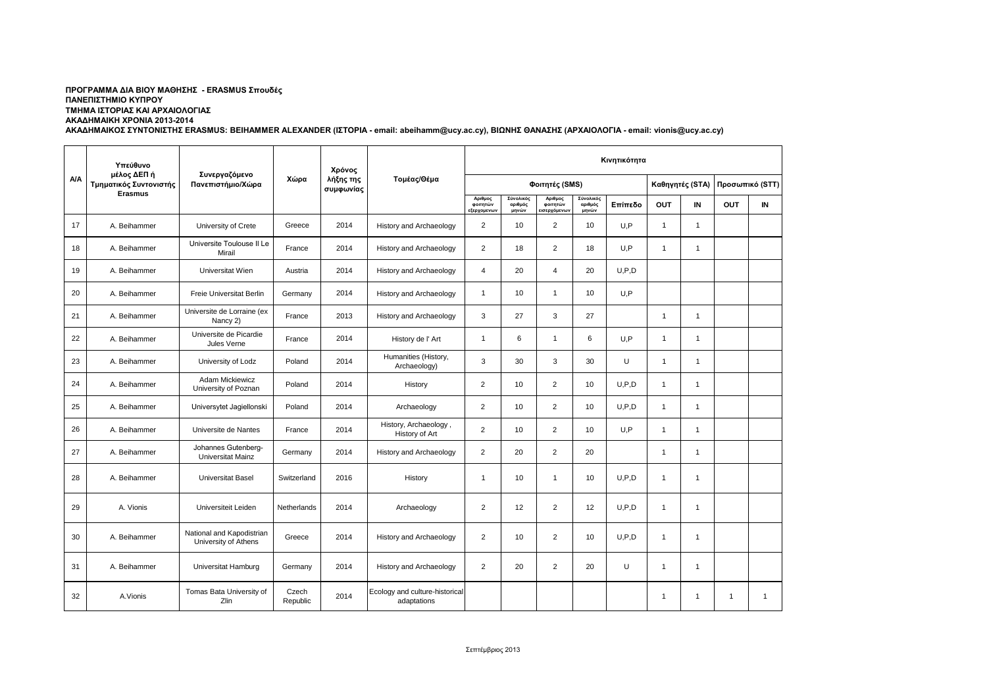## **ΠΡΟΓΡΑΜΜΑ ΔΙΑ ΒΙΟΥ ΜΑΘΗΣΗΣ - ERASMUS Σπουδές ΠΑΝΕΠΙΣΤΗΜΙΟ ΚΥΠΡΟΥ ΤΜΗΜΑ ΙΣΤΟΡΙΑΣ ΚΑΙ ΑΡΧΑΙΟΛΟΓΙΑΣ ΑΚΑΔΗΜΑΙΚΗ ΧΡΟΝΙΑ 2013-2014**

**ΑΚΑΔΗΜΑΙΚΟΣ ΣΥΝΤΟΝΙΣΤΗΣ ERASMUS: BEIHAMMER ALEXANDER (ΙΣΤΟΡΙΑ - email: abeihamm@ucy.ac.cy), ΒΙΩΝΗΣ ΘΑΝΑΣΗΣ (ΑΡΧΑΙΟΛΟΓΙΑ - email: vionis@ucy.ac.cy)**

|     | Υπεύθυνο<br>μέλος ΔΕΠ ή<br>Τμηματικός Συντονιστής<br><b>Erasmus</b> | Συνεργαζόμενο<br>Πανεπιστήμιο/Χώρα                | Χώρα              | Χρόνος<br>λήξης της<br>συμφωνίας | Τομέας/Θέμα                                   | Κινητικότητα                       |                               |                                    |                               |         |                 |                |                 |                |
|-----|---------------------------------------------------------------------|---------------------------------------------------|-------------------|----------------------------------|-----------------------------------------------|------------------------------------|-------------------------------|------------------------------------|-------------------------------|---------|-----------------|----------------|-----------------|----------------|
| A/A |                                                                     |                                                   |                   |                                  |                                               | Φοιτητές (SMS)                     |                               |                                    |                               |         | Καθηγητές (STA) |                | Προσωπικό (STT) |                |
|     |                                                                     |                                                   |                   |                                  |                                               | Αριθμος<br>ΦΟΙΤΠΤών<br>εξερχομενων | Σύνολικός<br>αριθμός<br>μηνών | Αριθμος<br>φοιτητών<br>ισερχόμενων | Σύνολικός<br>αριθμός<br>μηνών | Επίπεδο | <b>OUT</b>      | IN             | <b>OUT</b>      | IN             |
| 17  | A. Beihammer                                                        | University of Crete                               | Greece            | 2014                             | <b>History and Archaeology</b>                | $\overline{2}$                     | 10                            | 2                                  | 10                            | U, P    | $\mathbf{1}$    | $\mathbf{1}$   |                 |                |
| 18  | A. Beihammer                                                        | Universite Toulouse II Le<br>Mirail               | France            | 2014                             | <b>History and Archaeology</b>                | 2                                  | 18                            | 2                                  | 18                            | U.P     | $\mathbf{1}$    | 1              |                 |                |
| 19  | A. Beihammer                                                        | Universitat Wien                                  | Austria           | 2014                             | History and Archaeology                       | $\overline{4}$                     | 20                            | $\overline{4}$                     | 20                            | U.P.D   |                 |                |                 |                |
| 20  | A. Beihammer                                                        | Freie Universitat Berlin                          | Germany           | 2014                             | <b>History and Archaeology</b>                | $\overline{1}$                     | 10                            | $\mathbf{1}$                       | 10                            | U.P     |                 |                |                 |                |
| 21  | A. Beihammer                                                        | Universite de Lorraine (ex<br>Nancy 2)            | France            | 2013                             | History and Archaeology                       | 3                                  | 27                            | 3                                  | 27                            |         | $\mathbf{1}$    | $\mathbf{1}$   |                 |                |
| 22  | A. Beihammer                                                        | Universite de Picardie<br>Jules Verne             | France            | 2014                             | History de l'Art                              | $\overline{1}$                     | 6                             | $\mathbf{1}$                       | 6                             | U.P     | 1               | 1              |                 |                |
| 23  | A. Beihammer                                                        | University of Lodz                                | Poland            | 2014                             | Humanities (History,<br>Archaeology)          | 3                                  | 30                            | 3                                  | 30                            | U       | $\overline{1}$  | 1              |                 |                |
| 24  | A. Beihammer                                                        | Adam Mickiewicz<br>University of Poznan           | Poland            | 2014                             | History                                       | 2                                  | 10                            | $\overline{2}$                     | 10                            | U, P, D | $\mathbf{1}$    | $\mathbf{1}$   |                 |                |
| 25  | A. Beihammer                                                        | Universytet Jagiellonski                          | Poland            | 2014                             | Archaeology                                   | 2                                  | 10                            | $\overline{2}$                     | 10                            | U, P, D | $\mathbf{1}$    | 1              |                 |                |
| 26  | A. Beihammer                                                        | Universite de Nantes                              | France            | 2014                             | History, Archaeology,<br>History of Art       | $\overline{2}$                     | 10                            | $\overline{2}$                     | 10                            | U.P     | $\mathbf{1}$    | $\mathbf{1}$   |                 |                |
| 27  | A. Beihammer                                                        | Johannes Gutenberg-<br><b>Universitat Mainz</b>   | Germany           | 2014                             | History and Archaeology                       | 2                                  | 20                            | $\overline{2}$                     | 20                            |         | $\mathbf{1}$    | $\overline{1}$ |                 |                |
| 28  | A. Beihammer                                                        | <b>Universitat Basel</b>                          | Switzerland       | 2016                             | History                                       | $\overline{1}$                     | 10                            | $\mathbf{1}$                       | 10                            | U.P.D   | $\mathbf{1}$    | $\mathbf{1}$   |                 |                |
| 29  | A. Vionis                                                           | Universiteit Leiden                               | Netherlands       | 2014                             | Archaeology                                   | 2                                  | 12                            | 2                                  | 12                            | U, P, D | $\mathbf{1}$    | $\mathbf{1}$   |                 |                |
| 30  | A. Beihammer                                                        | National and Kapodistrian<br>University of Athens | Greece            | 2014                             | <b>History and Archaeology</b>                | 2                                  | 10                            | $\overline{2}$                     | 10                            | U, P, D | $\overline{1}$  | 1              |                 |                |
| 31  | A. Beihammer                                                        | Universitat Hamburg                               | Germany           | 2014                             | <b>History and Archaeology</b>                | 2                                  | 20                            | 2                                  | 20                            | U       | $\overline{1}$  | $\overline{1}$ |                 |                |
| 32  | A.Vionis                                                            | Tomas Bata University of<br>Zlin                  | Czech<br>Republic | 2014                             | Ecology and culture-historical<br>adaptations |                                    |                               |                                    |                               |         | $\mathbf{1}$    | $\mathbf{1}$   | $\overline{1}$  | $\overline{1}$ |